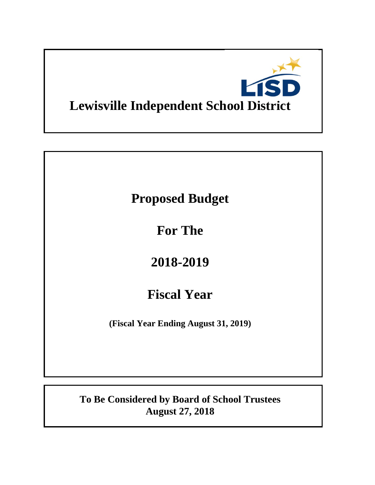

# **Proposed Budget**

**For The**

# **2018-2019**

# **Fiscal Year**

**(Fiscal Year Ending August 31, 2019)**

**To Be Considered by Board of School Trustees August 27, 2018**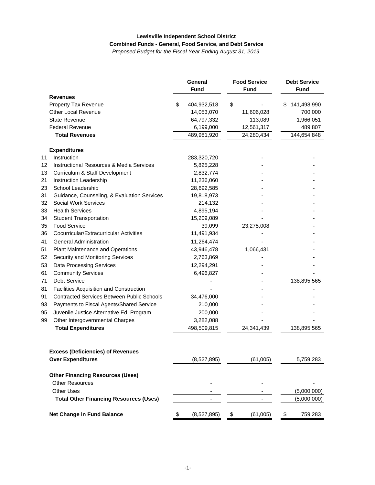#### **Lewisville Independent School District Combined Funds - General, Food Service, and Debt Service**

*Proposed Budget for the Fiscal Year Ending August 31, 2019*

|    |                                                     | General<br><b>Fund</b> | <b>Food Service</b><br><b>Fund</b> |    | <b>Debt Service</b><br><b>Fund</b> |  |
|----|-----------------------------------------------------|------------------------|------------------------------------|----|------------------------------------|--|
|    | <b>Revenues</b>                                     |                        |                                    |    |                                    |  |
|    | Property Tax Revenue                                | \$<br>404,932,518      | \$                                 | S  | 141,498,990                        |  |
|    | <b>Other Local Revenue</b>                          | 14,053,070             | 11,606,028                         |    | 700,000                            |  |
|    | <b>State Revenue</b>                                | 64,797,332             | 113,089                            |    | 1,966,051                          |  |
|    | <b>Federal Revenue</b>                              | 6,199,000              | 12,561,317                         |    | 489,807                            |  |
|    | <b>Total Revenues</b>                               | 489,981,920            | 24,280,434                         |    | 144,654,848                        |  |
|    | <b>Expenditures</b>                                 |                        |                                    |    |                                    |  |
| 11 | Instruction                                         | 283,320,720            |                                    |    |                                    |  |
| 12 | <b>Instructional Resources &amp; Media Services</b> | 5,825,228              |                                    |    |                                    |  |
| 13 | Curriculum & Staff Development                      | 2,832,774              |                                    |    |                                    |  |
| 21 | Instruction Leadership                              | 11,236,060             |                                    |    |                                    |  |
| 23 | School Leadership                                   | 28,692,585             |                                    |    |                                    |  |
| 31 | Guidance, Counseling, & Evaluation Services         | 19,818,973             |                                    |    |                                    |  |
| 32 | <b>Social Work Services</b>                         | 214,132                |                                    |    |                                    |  |
| 33 | <b>Health Services</b>                              | 4,895,194              |                                    |    |                                    |  |
| 34 | <b>Student Transportation</b>                       | 15,209,089             |                                    |    |                                    |  |
| 35 | <b>Food Service</b>                                 | 39,099                 | 23,275,008                         |    |                                    |  |
| 36 | Cocurricular/Extracurricular Activities             | 11,491,934             |                                    |    |                                    |  |
| 41 | <b>General Administration</b>                       | 11,264,474             |                                    |    |                                    |  |
| 51 | <b>Plant Maintenance and Operations</b>             | 43,946,478             | 1,066,431                          |    |                                    |  |
| 52 | Security and Monitoring Services                    | 2,763,869              |                                    |    |                                    |  |
| 53 | <b>Data Processing Services</b>                     | 12,294,291             |                                    |    |                                    |  |
| 61 | <b>Community Services</b>                           | 6,496,827              |                                    |    |                                    |  |
| 71 | <b>Debt Service</b>                                 |                        |                                    |    | 138,895,565                        |  |
| 81 | Facilities Acquisition and Construction             |                        |                                    |    |                                    |  |
| 91 | <b>Contracted Services Between Public Schools</b>   | 34,476,000             |                                    |    |                                    |  |
| 93 | Payments to Fiscal Agents/Shared Service            | 210,000                |                                    |    |                                    |  |
| 95 | Juvenile Justice Alternative Ed. Program            | 200,000                |                                    |    |                                    |  |
| 99 | Other Intergovernmental Charges                     | 3,282,088              |                                    |    |                                    |  |
|    | <b>Total Expenditures</b>                           | 498,509,815            | 24,341,439                         |    | 138,895,565                        |  |
|    |                                                     |                        |                                    |    |                                    |  |
|    | <b>Excess (Deficiencies) of Revenues</b>            |                        |                                    |    |                                    |  |
|    | <b>Over Expenditures</b>                            | (8,527,895)            | (61,005)                           |    | 5,759,283                          |  |
|    | <b>Other Financing Resources (Uses)</b>             |                        |                                    |    |                                    |  |
|    | <b>Other Resources</b>                              |                        |                                    |    |                                    |  |
|    | <b>Other Uses</b>                                   |                        |                                    |    | (5,000,000)                        |  |
|    | <b>Total Other Financing Resources (Uses)</b>       |                        |                                    |    | (5,000,000)                        |  |
|    | Net Change in Fund Balance                          | \$<br>(8,527,895)      | \$<br>(61,005)                     | \$ | 759,283                            |  |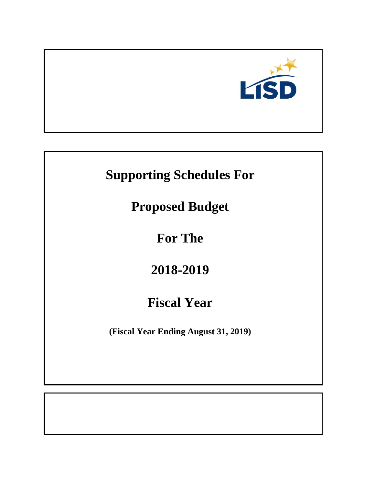

# **Supporting Schedules For**

**Proposed Budget**

**For The**

# **2018-2019**

# **Fiscal Year**

**(Fiscal Year Ending August 31, 2019)**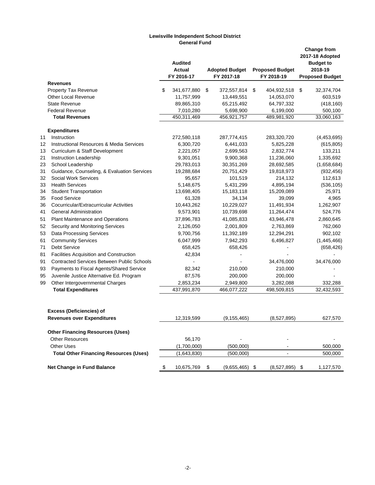#### **Lewisville Independent School District General Fund**

|    |                                                     | <b>Audited</b><br>Actual<br>FY 2016-17 | <b>Adopted Budget</b><br>FY 2017-18 | <b>Proposed Budget</b><br>FY 2018-19 |      | <b>Change from</b><br>2017-18 Adopted<br><b>Budget to</b><br>2018-19<br><b>Proposed Budget</b> |
|----|-----------------------------------------------------|----------------------------------------|-------------------------------------|--------------------------------------|------|------------------------------------------------------------------------------------------------|
|    | <b>Revenues</b>                                     |                                        |                                     |                                      |      |                                                                                                |
|    | <b>Property Tax Revenue</b>                         | \$<br>341,677,880                      | \$<br>372,557,814                   | \$<br>404,932,518                    | \$   | 32,374,704                                                                                     |
|    | <b>Other Local Revenue</b>                          | 11,757,999                             | 13,449,551                          | 14,053,070                           |      | 603,519                                                                                        |
|    | <b>State Revenue</b>                                | 89,865,310                             | 65,215,492                          | 64,797,332                           |      | (418, 160)                                                                                     |
|    | <b>Federal Revenue</b>                              | 7,010,280                              | 5,698,900                           | 6,199,000                            |      | 500,100                                                                                        |
|    | <b>Total Revenues</b>                               | 450,311,469                            | 456,921,757                         | 489,981,920                          |      | 33,060,163                                                                                     |
|    | <b>Expenditures</b>                                 |                                        |                                     |                                      |      |                                                                                                |
| 11 | Instruction                                         | 272,580,118                            | 287,774,415                         | 283,320,720                          |      | (4,453,695)                                                                                    |
| 12 | <b>Instructional Resources &amp; Media Services</b> | 6,300,720                              | 6,441,033                           | 5,825,228                            |      | (615, 805)                                                                                     |
| 13 | Curriculum & Staff Development                      | 2,221,057                              | 2,699,563                           | 2,832,774                            |      | 133,211                                                                                        |
| 21 | Instruction Leadership                              | 9,301,051                              | 9,900,368                           | 11,236,060                           |      | 1,335,692                                                                                      |
| 23 | School Leadership                                   | 29,783,013                             | 30,351,269                          | 28,692,585                           |      | (1,658,684)                                                                                    |
| 31 | Guidance, Counseling, & Evaluation Services         | 19,288,684                             | 20,751,429                          | 19,818,973                           |      | (932, 456)                                                                                     |
| 32 | Social Work Services                                | 95,657                                 | 101,519                             | 214,132                              |      | 112,613                                                                                        |
| 33 | <b>Health Services</b>                              | 5,148,675                              | 5,431,299                           | 4,895,194                            |      | (536, 105)                                                                                     |
| 34 | <b>Student Transportation</b>                       | 13,698,405                             | 15,183,118                          | 15,209,089                           |      | 25,971                                                                                         |
| 35 | <b>Food Service</b>                                 | 61,328                                 | 34,134                              | 39,099                               |      | 4,965                                                                                          |
| 36 | Cocurricular/Extracurricular Activities             | 10,443,262                             | 10,229,027                          | 11,491,934                           |      | 1,262,907                                                                                      |
| 41 | <b>General Administration</b>                       | 9,573,901                              | 10,739,698                          | 11,264,474                           |      | 524,776                                                                                        |
| 51 | Plant Maintenance and Operations                    | 37,896,783                             | 41,085,833                          | 43,946,478                           |      | 2,860,645                                                                                      |
| 52 | Security and Monitoring Services                    | 2,126,050                              | 2,001,809                           | 2,763,869                            |      | 762,060                                                                                        |
| 53 | Data Processing Services                            | 9,700,756                              | 11,392,189                          | 12,294,291                           |      | 902,102                                                                                        |
| 61 | <b>Community Services</b>                           | 6,047,999                              | 7,942,293                           | 6,496,827                            |      | (1,445,466)                                                                                    |
| 71 | <b>Debt Service</b>                                 | 658,425                                | 658,426                             |                                      |      | (658, 426)                                                                                     |
| 81 | Facilities Acquisition and Construction             | 42,834                                 |                                     |                                      |      |                                                                                                |
| 91 | <b>Contracted Services Between Public Schools</b>   |                                        |                                     | 34,476,000                           |      | 34,476,000                                                                                     |
| 93 | Payments to Fiscal Agents/Shared Service            | 82,342                                 | 210,000                             | 210,000                              |      |                                                                                                |
| 95 | Juvenile Justice Alternative Ed. Program            | 87,576                                 | 200,000                             | 200,000                              |      |                                                                                                |
| 99 | Other Intergovernmental Charges                     | 2,853,234                              | 2,949,800                           | 3,282,088                            |      | 332,288                                                                                        |
|    | <b>Total Expenditures</b>                           | 437,991,870                            | 466,077,222                         | 498,509,815                          |      | 32,432,593                                                                                     |
|    | <b>Excess (Deficiencies) of</b>                     |                                        |                                     |                                      |      |                                                                                                |
|    | <b>Revenues over Expenditures</b>                   | 12,319,599                             | (9, 155, 465)                       | (8,527,895)                          |      | 627,570                                                                                        |
|    | <b>Other Financing Resources (Uses)</b>             |                                        |                                     |                                      |      |                                                                                                |
|    | <b>Other Resources</b>                              | 56,170                                 |                                     |                                      |      |                                                                                                |
|    | <b>Other Uses</b>                                   | (1,700,000)                            | (500,000)                           |                                      |      | 500,000                                                                                        |
|    | <b>Total Other Financing Resources (Uses)</b>       | (1,643,830)                            | (500,000)                           |                                      |      | 500,000                                                                                        |
|    | Net Change in Fund Balance                          | \$<br>10,675,769                       | \$<br>$(9,655,465)$ \$              | (8,527,895)                          | - \$ | 1,127,570                                                                                      |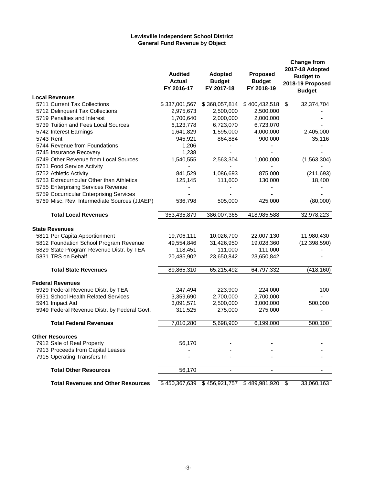#### **Lewisville Independent School District General Fund Revenue by Object**

|                                              | <b>Audited</b><br><b>Actual</b><br>FY 2016-17 | Adopted<br><b>Budget</b><br>FY 2017-18 | Proposed<br><b>Budget</b><br>FY 2018-19 | <b>Change from</b><br>2017-18 Adopted<br><b>Budget to</b><br>2018-19 Proposed<br><b>Budget</b> |
|----------------------------------------------|-----------------------------------------------|----------------------------------------|-----------------------------------------|------------------------------------------------------------------------------------------------|
| <b>Local Revenues</b>                        |                                               |                                        |                                         |                                                                                                |
| 5711 Current Tax Collections                 | \$337,001,567                                 | \$368,057,814                          | \$400,432,518                           | \$<br>32,374,704                                                                               |
| 5712 Delinquent Tax Collections              | 2,975,673                                     | 2,500,000                              | 2,500,000                               |                                                                                                |
| 5719 Penalties and Interest                  | 1,700,640                                     | 2,000,000                              | 2,000,000                               |                                                                                                |
| 5739 Tuition and Fees Local Sources          | 6,123,778                                     | 6,723,070                              | 6,723,070                               |                                                                                                |
| 5742 Interest Earnings                       | 1,641,829                                     | 1,595,000                              | 4,000,000                               | 2,405,000                                                                                      |
| 5743 Rent                                    | 945,921                                       | 864,884                                | 900,000                                 | 35,116                                                                                         |
| 5744 Revenue from Foundations                | 1,206                                         |                                        |                                         |                                                                                                |
| 5745 Insurance Recovery                      | 1,238                                         |                                        |                                         |                                                                                                |
| 5749 Other Revenue from Local Sources        | 1,540,555                                     | 2,563,304                              | 1,000,000                               | (1,563,304)                                                                                    |
| 5751 Food Service Activity                   |                                               |                                        |                                         |                                                                                                |
| 5752 Athletic Activity                       | 841,529                                       | 1,086,693                              | 875,000                                 | (211, 693)                                                                                     |
| 5753 Extracurricular Other than Athletics    | 125,145                                       | 111,600                                | 130,000                                 | 18,400                                                                                         |
| 5755 Enterprising Services Revenue           |                                               |                                        |                                         |                                                                                                |
| 5759 Cocurricular Enterprising Services      |                                               |                                        |                                         |                                                                                                |
| 5769 Misc. Rev. Intermediate Sources (JJAEP) | 536,798                                       | 505,000                                | 425,000                                 | (80,000)                                                                                       |
| <b>Total Local Revenues</b>                  | 353,435,879                                   | 386,007,365                            | 418,985,588                             | 32,978,223                                                                                     |
| <b>State Revenues</b>                        |                                               |                                        |                                         |                                                                                                |
| 5811 Per Capita Apportionment                | 19,706,111                                    | 10,026,700                             | 22,007,130                              | 11,980,430                                                                                     |
| 5812 Foundation School Program Revenue       | 49,554,846                                    | 31,426,950                             | 19,028,360                              | (12, 398, 590)                                                                                 |
| 5829 State Program Revenue Distr. by TEA     | 118,451                                       | 111,000                                | 111,000                                 |                                                                                                |
| 5831 TRS on Behalf                           | 20,485,902                                    | 23,650,842                             | 23,650,842                              |                                                                                                |
| <b>Total State Revenues</b>                  | 89,865,310                                    | 65,215,492                             | 64,797,332                              | (418, 160)                                                                                     |
| <b>Federal Revenues</b>                      |                                               |                                        |                                         |                                                                                                |
| 5929 Federal Revenue Distr. by TEA           | 247,494                                       | 223,900                                | 224,000                                 | 100                                                                                            |
| 5931 School Health Related Services          | 3,359,690                                     | 2,700,000                              | 2,700,000                               |                                                                                                |
| 5941 Impact Aid                              | 3,091,571                                     | 2,500,000                              | 3,000,000                               | 500,000                                                                                        |
| 5949 Federal Revenue Distr. by Federal Govt. | 311,525                                       | 275,000                                | 275,000                                 |                                                                                                |
| <b>Total Federal Revenues</b>                | 7,010,280                                     | 5,698,900                              | 6,199,000                               | 500,100                                                                                        |
| <b>Other Resources</b>                       |                                               |                                        |                                         |                                                                                                |
| 7912 Sale of Real Property                   | 56,170                                        |                                        |                                         |                                                                                                |
| 7913 Proceeds from Capital Leases            |                                               |                                        |                                         |                                                                                                |
| 7915 Operating Transfers In                  |                                               |                                        |                                         |                                                                                                |
| <b>Total Other Resources</b>                 | 56,170                                        | $\overline{\phantom{a}}$               | ٠                                       |                                                                                                |
|                                              |                                               |                                        |                                         |                                                                                                |
| <b>Total Revenues and Other Resources</b>    | \$450,367,639                                 | \$456,921,757                          | \$489,981,920                           | \$<br>33,060,163                                                                               |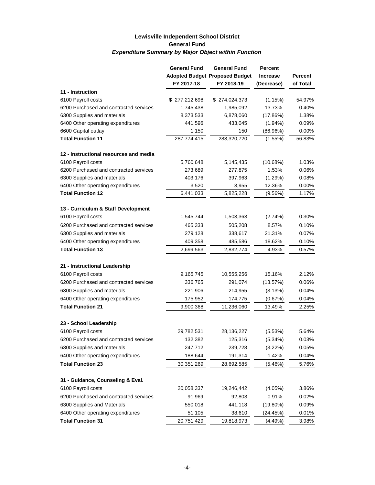### **Lewisville Independent School District General Fund** *Expenditure Summary by Major Object within Function*

|                                        | <b>General Fund</b> | <b>General Fund</b>                   | <b>Percent</b>  |                |
|----------------------------------------|---------------------|---------------------------------------|-----------------|----------------|
|                                        |                     | <b>Adopted Budget Proposed Budget</b> | <b>Increase</b> | <b>Percent</b> |
|                                        | FY 2017-18          | FY 2018-19                            | (Decrease)      | of Total       |
| 11 - Instruction                       |                     |                                       |                 |                |
| 6100 Payroll costs                     | \$277,212,698       | \$274,024,373                         | (1.15%)         | 54.97%         |
| 6200 Purchased and contracted services | 1,745,438           | 1,985,092                             | 13.73%          | 0.40%          |
| 6300 Supplies and materials            | 8,373,533           | 6,878,060                             | (17.86%)        | 1.38%          |
| 6400 Other operating expenditures      | 441,596             | 433,045                               | $(1.94\%)$      | $0.09\%$       |
| 6600 Capital outlay                    | 1,150               | 150                                   | (86.96%)        | 0.00%          |
| <b>Total Function 11</b>               | 287,774,415         | 283,320,720                           | (1.55%)         | 56.83%         |
| 12 - Instructional resources and media |                     |                                       |                 |                |
| 6100 Payroll costs                     | 5,760,648           | 5,145,435                             | (10.68%)        | 1.03%          |
| 6200 Purchased and contracted services | 273,689             | 277,875                               | 1.53%           | 0.06%          |
| 6300 Supplies and materials            | 403,176             | 397,963                               | (1.29%)         | 0.08%          |
| 6400 Other operating expenditures      | 3,520               | 3,955                                 | 12.36%          | 0.00%          |
| <b>Total Function 12</b>               | 6,441,033           | 5,825,228                             | (9.56%)         | 1.17%          |
| 13 - Curriculum & Staff Development    |                     |                                       |                 |                |
| 6100 Payroll costs                     | 1,545,744           | 1,503,363                             | (2.74%)         | 0.30%          |
| 6200 Purchased and contracted services | 465,333             | 505,208                               | 8.57%           | 0.10%          |
| 6300 Supplies and materials            | 279,128             | 338,617                               | 21.31%          | $0.07\%$       |
| 6400 Other operating expenditures      | 409,358             | 485,586                               | 18.62%          | 0.10%          |
| <b>Total Function 13</b>               | 2,699,563           | 2,832,774                             | 4.93%           | 0.57%          |
|                                        |                     |                                       |                 |                |
| 21 - Instructional Leadership          |                     |                                       |                 |                |
| 6100 Payroll costs                     | 9,165,745           | 10,555,256                            | 15.16%          | 2.12%          |
| 6200 Purchased and contracted services | 336,765             | 291,074                               | (13.57%)        | 0.06%          |
| 6300 Supplies and materials            | 221,906             | 214,955                               | (3.13%)         | 0.04%          |
| 6400 Other operating expenditures      | 175,952             | 174,775                               | (0.67%)         | 0.04%          |
| <b>Total Function 21</b>               | 9,900,368           | 11,236,060                            | 13.49%          | 2.25%          |
| 23 - School Leadership                 |                     |                                       |                 |                |
| 6100 Payroll costs                     | 29,782,531          | 28,136,227                            | (5.53%)         | 5.64%          |
| 6200 Purchased and contracted services | 132,382             | 125,316                               | (5.34%)         | 0.03%          |
| 6300 Supplies and materials            | 247,712             | 239,728                               | (3.22%)         | 0.05%          |
| 6400 Other operating expenditures      | 188,644             | 191,314                               | 1.42%           | 0.04%          |
| <b>Total Function 23</b>               | 30,351,269          | 28,692,585                            | (5.46%)         | 5.76%          |
|                                        |                     |                                       |                 |                |
| 31 - Guidance, Counseling & Eval.      |                     |                                       |                 |                |
| 6100 Payroll costs                     | 20,058,337          | 19,246,442                            | (4.05%)         | 3.86%          |
| 6200 Purchased and contracted services | 91,969              | 92,803                                | 0.91%           | 0.02%          |
| 6300 Supplies and Materials            | 550,018             | 441,118                               | $(19.80\%)$     | 0.09%          |
| 6400 Other operating expenditures      | 51,105              | 38,610                                | (24.45%)        | 0.01%          |
| <b>Total Function 31</b>               | 20,751,429          | 19,818,973                            | (4.49%)         | 3.98%          |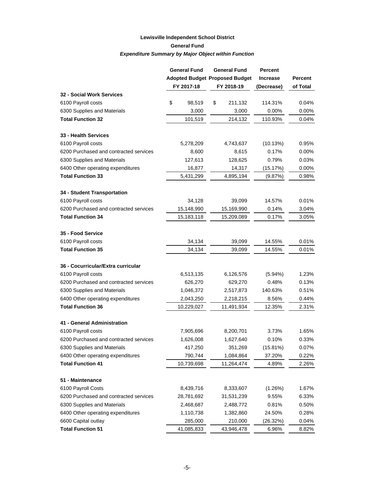### **Lewisville Independent School District General Fund** *Expenditure Summary by Major Object within Function*

|                                        | <b>General Fund</b> | <b>General Fund</b>                   | Percent         |                |
|----------------------------------------|---------------------|---------------------------------------|-----------------|----------------|
|                                        |                     | <b>Adopted Budget Proposed Budget</b> | <b>Increase</b> | <b>Percent</b> |
|                                        | FY 2017-18          | FY 2018-19                            | (Decrease)      | of Total       |
| <b>32 - Social Work Services</b>       |                     |                                       |                 |                |
| 6100 Payroll costs                     | \$<br>98,519        | \$<br>211,132                         | 114.31%         | 0.04%          |
| 6300 Supplies and Materials            | 3,000               | 3,000                                 | 0.00%           | 0.00%          |
| <b>Total Function 32</b>               | 101,519             | 214,132                               | 110.93%         | 0.04%          |
| 33 - Health Services                   |                     |                                       |                 |                |
| 6100 Payroll costs                     | 5,278,209           | 4,743,637                             | (10.13%)        | 0.95%          |
| 6200 Purchased and contracted services | 8,600               | 8,615                                 | 0.17%           | 0.00%          |
| 6300 Supplies and Materials            | 127,613             | 128,625                               | 0.79%           | 0.03%          |
| 6400 Other operating expenditures      | 16,877              | 14,317                                | (15.17%)        | 0.00%          |
| <b>Total Function 33</b>               | 5,431,299           | 4,895,194                             | (9.87%)         | 0.98%          |
| 34 - Student Transportation            |                     |                                       |                 |                |
| 6100 Payroll costs                     | 34,128              | 39,099                                | 14.57%          | 0.01%          |
| 6200 Purchased and contracted services | 15,148,990          | 15,169,990                            | 0.14%           | 3.04%          |
| <b>Total Function 34</b>               | 15,183,118          | 15,209,089                            | 0.17%           | 3.05%          |
| 35 - Food Service                      |                     |                                       |                 |                |
| 6100 Payroll costs                     | 34,134              | 39,099                                | 14.55%          | 0.01%          |
| <b>Total Function 35</b>               | 34,134              | 39,099                                | 14.55%          | 0.01%          |
| 36 - Cocurricular/Extra curricular     |                     |                                       |                 |                |
| 6100 Payroll costs                     | 6,513,135           | 6,126,576                             | (5.94%)         | 1.23%          |
| 6200 Purchased and contracted services | 626,270             | 629,270                               | 0.48%           | 0.13%          |
| 6300 Supplies and Materials            | 1,046,372           | 2,517,873                             | 140.63%         | 0.51%          |
| 6400 Other operating expenditures      | 2,043,250           | 2,218,215                             | 8.56%           | 0.44%          |
| <b>Total Function 36</b>               | 10,229,027          | 11,491,934                            | 12.35%          | 2.31%          |
| 41 - General Administration            |                     |                                       |                 |                |
| 6100 Payroll costs                     | 7,905,696           | 8,200,701                             | 3.73%           | 1.65%          |
| 6200 Purchased and contracted services | 1,626,008           | 1,627,640                             | 0.10%           | 0.33%          |
| 6300 Supplies and Materials            | 417,250             | 351,269                               | (15.81%)        | 0.07%          |
| 6400 Other operating expenditures      | 790,744             | 1,084,864                             | 37.20%          | 0.22%          |
| <b>Total Function 41</b>               | 10,739,698          | 11,264,474                            | 4.89%           | 2.26%          |
| 51 - Maintenance                       |                     |                                       |                 |                |
| 6100 Payroll Costs                     | 8,439,716           | 8,333,607                             | (1.26%)         | 1.67%          |
| 6200 Purchased and contracted services | 28,781,692          | 31,531,239                            | 9.55%           | 6.33%          |
| 6300 Supplies and Materials            | 2,468,687           | 2,488,772                             | 0.81%           | 0.50%          |
| 6400 Other operating expenditures      | 1,110,738           | 1,382,860                             | 24.50%          | 0.28%          |
| 6600 Capital outlay                    | 285,000             | 210,000                               | (26.32%)        | 0.04%          |
| <b>Total Function 51</b>               | 41,085,833          | 43,946,478                            | 6.96%           | 8.82%          |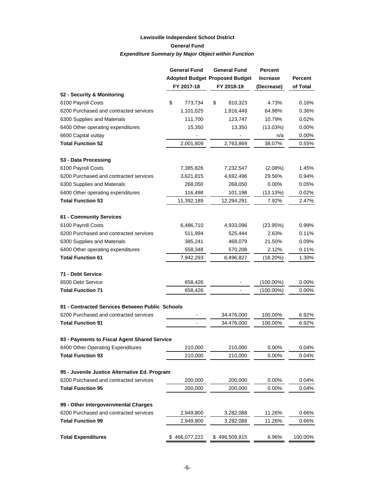### **Lewisville Independent School District General Fund** *Expenditure Summary by Major Object within Function*

|                                                 | <b>General Fund</b> | <b>General Fund</b>                   | <b>Percent</b>  |                |
|-------------------------------------------------|---------------------|---------------------------------------|-----------------|----------------|
|                                                 |                     | <b>Adopted Budget Proposed Budget</b> | <b>Increase</b> | <b>Percent</b> |
|                                                 | FY 2017-18          | FY 2018-19                            | (Decrease)      | of Total       |
| 52 - Security & Monitoring                      |                     |                                       |                 |                |
| 6100 Payroll Costs                              | \$<br>773,734       | \$<br>810,323                         | 4.73%           | 0.16%          |
| 6200 Purchased and contracted services          | 1,101,025           | 1,816,449                             | 64.98%          | 0.36%          |
| 6300 Supplies and Materials                     | 111,700             | 123,747                               | 10.79%          | 0.02%          |
| 6400 Other operating expenditures               | 15,350              | 13,350                                | (13.03%)        | 0.00%          |
| 6600 Capital outlay                             |                     |                                       | n/a             | 0.00%          |
| <b>Total Function 52</b>                        | 2,001,809           | 2,763,869                             | 38.07%          | 0.55%          |
| 53 - Data Processing                            |                     |                                       |                 |                |
| 6100 Payroll Costs                              | 7,385,826           | 7,232,547                             | (2.08%)         | 1.45%          |
| 6200 Purchased and contracted services          | 3,621,815           | 4,692,496                             | 29.56%          | 0.94%          |
| 6300 Supplies and Materials                     | 268,050             | 268,050                               | 0.00%           | $0.05\%$       |
| 6400 Other operating expenditures               | 116,498             | 101,198                               | (13.13%)        | 0.02%          |
| <b>Total Function 53</b>                        | 11,392,189          | 12,294,291                            | 7.92%           | 2.47%          |
| 61 - Community Services                         |                     |                                       |                 |                |
| 6100 Payroll Costs                              | 6,486,710           | 4,933,096                             | (23.95%)        | 0.99%          |
| 6200 Purchased and contracted services          | 511,994             | 525,444                               | 2.63%           | 0.11%          |
| 6300 Supplies and Materials                     | 385,241             | 468,079                               | 21.50%          | 0.09%          |
| 6400 Other operating expenditures               | 558,348             | 570,208                               | 2.12%           | 0.11%          |
| <b>Total Function 61</b>                        | 7,942,293           | 6,496,827                             | (18.20%)        | 1.30%          |
| 71 - Debt Service                               |                     |                                       |                 |                |
| 6500 Debt Service                               | 658,426             |                                       | $(100.00\%)$    | 0.00%          |
| <b>Total Function 71</b>                        | 658,426             |                                       | $(100.00\%)$    | 0.00%          |
| 91 - Contracted Services Between Public Schools |                     |                                       |                 |                |
| 6200 Purchased and contracted services          |                     | 34,476,000                            | 100.00%         | 6.92%          |
| <b>Total Function 91</b>                        |                     | 34,476,000                            | 100.00%         | 6.92%          |
| 93 - Payments to Fiscal Agent Shared Service    |                     |                                       |                 |                |
| 6400 Other Operating Expenditures               | 210,000             | 210,000                               | 0.00%           | 0.04%          |
| <b>Total Function 93</b>                        | 210,000             | 210,000                               | 0.00%           | 0.04%          |
| 95 - Juvenile Justice Alternative Ed. Program   |                     |                                       |                 |                |
| 6200 Purchased and contracted services          | 200,000             | 200,000                               | 0.00%           | 0.04%          |
| <b>Total Function 95</b>                        | 200,000             | 200,000                               | 0.00%           | 0.04%          |
| 99 - Other Intergovernmental Charges            |                     |                                       |                 |                |
| 6200 Purchased and contracted services          | 2,949,800           | 3,282,088                             | 11.26%          | 0.66%          |
| <b>Total Function 99</b>                        | 2,949,800           | 3,282,088                             | 11.26%          | 0.66%          |
| <b>Total Expenditures</b>                       | \$466,077,222       | \$498,509,815                         | 6.96%           | 100.00%        |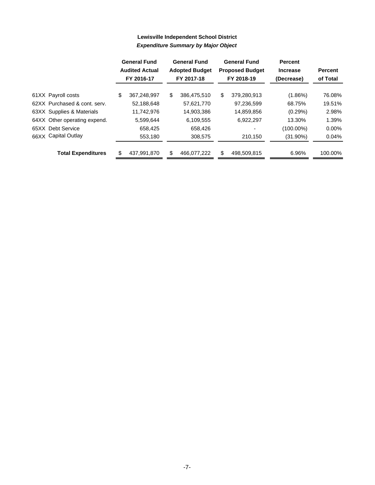|                              | <b>General Fund</b><br><b>Audited Actual</b><br>FY 2016-17 | <b>General Fund</b><br><b>Adopted Budget</b><br>FY 2017-18 |             | <b>General Fund</b><br><b>Proposed Budget</b><br>FY 2018-19 | <b>Percent</b><br><b>Increase</b><br>(Decrease) | <b>Percent</b><br>of Total |  |
|------------------------------|------------------------------------------------------------|------------------------------------------------------------|-------------|-------------------------------------------------------------|-------------------------------------------------|----------------------------|--|
| 61XX Payroll costs           | \$<br>367.248.997                                          | \$                                                         | 386.475.510 | \$<br>379.280.913                                           | $(1.86\%)$                                      | 76.08%                     |  |
| 62XX Purchased & cont. serv. | 52,188,648                                                 |                                                            | 57,621,770  | 97,236,599                                                  | 68.75%                                          | 19.51%                     |  |
| 63XX Supplies & Materials    | 11,742,976                                                 |                                                            | 14,903,386  | 14,859,856                                                  | (0.29%)                                         | 2.98%                      |  |
| 64XX Other operating expend. | 5,599,644                                                  |                                                            | 6,109,555   | 6,922,297                                                   | 13.30%                                          | 1.39%                      |  |
| 65XX Debt Service            | 658,425                                                    |                                                            | 658,426     |                                                             | $(100.00\%)$                                    | $0.00\%$                   |  |
| 66XX Capital Outlay          | 553,180                                                    |                                                            | 308,575     | 210.150                                                     | (31.90%)                                        | 0.04%                      |  |
| <b>Total Expenditures</b>    | 437,991,870                                                | \$.                                                        | 466.077.222 | \$<br>498,509,815                                           | 6.96%                                           | 100.00%                    |  |

## **Lewisville Independent School District** *Expenditure Summary by Major Object*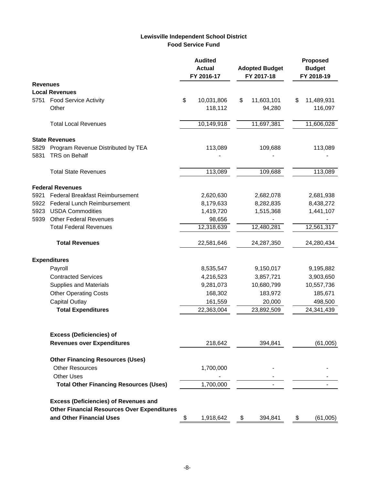### **Lewisville Independent School District Food Service Fund**

|                 |                                                    | <b>Audited</b><br><b>Actual</b><br>FY 2016-17 |            |    | <b>Adopted Budget</b><br>FY 2017-18 |    | <b>Proposed</b><br><b>Budget</b><br>FY 2018-19 |
|-----------------|----------------------------------------------------|-----------------------------------------------|------------|----|-------------------------------------|----|------------------------------------------------|
| <b>Revenues</b> |                                                    |                                               |            |    |                                     |    |                                                |
|                 | <b>Local Revenues</b>                              |                                               |            |    |                                     |    |                                                |
| 5751            | <b>Food Service Activity</b>                       | \$                                            | 10,031,806 | \$ | 11,603,101                          | \$ | 11,489,931                                     |
|                 | Other                                              |                                               | 118,112    |    | 94,280                              |    | 116,097                                        |
|                 | <b>Total Local Revenues</b>                        |                                               | 10,149,918 |    | 11,697,381                          |    | 11,606,028                                     |
|                 | <b>State Revenues</b>                              |                                               |            |    |                                     |    |                                                |
| 5829            | Program Revenue Distributed by TEA                 |                                               | 113,089    |    | 109,688                             |    | 113,089                                        |
| 5831            | TRS on Behalf                                      |                                               |            |    |                                     |    |                                                |
|                 | <b>Total State Revenues</b>                        |                                               | 113,089    |    | 109,688                             |    | 113,089                                        |
|                 | <b>Federal Revenues</b>                            |                                               |            |    |                                     |    |                                                |
| 5921            | Federal Breakfast Reimbursement                    |                                               | 2,620,630  |    | 2,682,078                           |    | 2,681,938                                      |
| 5922            | <b>Federal Lunch Reimbursement</b>                 |                                               | 8,179,633  |    | 8,282,835                           |    | 8,438,272                                      |
| 5923            | <b>USDA Commodities</b>                            |                                               | 1,419,720  |    | 1,515,368                           |    | 1,441,107                                      |
| 5939            | <b>Other Federal Revenues</b>                      |                                               | 98,656     |    |                                     |    |                                                |
|                 | <b>Total Federal Revenues</b>                      |                                               | 12,318,639 |    | 12,480,281                          |    | 12,561,317                                     |
|                 | <b>Total Revenues</b>                              |                                               | 22,581,646 |    | 24,287,350                          |    | 24,280,434                                     |
|                 | <b>Expenditures</b>                                |                                               |            |    |                                     |    |                                                |
|                 | Payroll                                            |                                               | 8,535,547  |    | 9,150,017                           |    | 9,195,882                                      |
|                 | <b>Contracted Services</b>                         |                                               | 4,216,523  |    | 3,857,721                           |    | 3,903,650                                      |
|                 | <b>Supplies and Materials</b>                      |                                               | 9,281,073  |    | 10,680,799                          |    | 10,557,736                                     |
|                 | <b>Other Operating Costs</b>                       |                                               | 168,302    |    | 183,972                             |    | 185,671                                        |
|                 | <b>Capital Outlay</b>                              |                                               | 161,559    |    | 20,000                              |    | 498,500                                        |
|                 | <b>Total Expenditures</b>                          |                                               | 22,363,004 |    | 23,892,509                          |    | 24,341,439                                     |
|                 |                                                    |                                               |            |    |                                     |    |                                                |
|                 | <b>Excess (Deficiencies) of</b>                    |                                               |            |    |                                     |    |                                                |
|                 | <b>Revenues over Expenditures</b>                  |                                               | 218,642    |    | 394,841                             |    | (61,005)                                       |
|                 | <b>Other Financing Resources (Uses)</b>            |                                               |            |    |                                     |    |                                                |
|                 | <b>Other Resources</b>                             |                                               | 1,700,000  |    |                                     |    |                                                |
|                 | <b>Other Uses</b>                                  |                                               |            |    |                                     |    |                                                |
|                 | <b>Total Other Financing Resources (Uses)</b>      |                                               | 1,700,000  |    |                                     |    |                                                |
|                 | <b>Excess (Deficiencies) of Revenues and</b>       |                                               |            |    |                                     |    |                                                |
|                 | <b>Other Financial Resources Over Expenditures</b> |                                               |            |    |                                     |    |                                                |
|                 | and Other Financial Uses                           |                                               | 1,918,642  | P. | 394,841                             |    | (61,005)                                       |